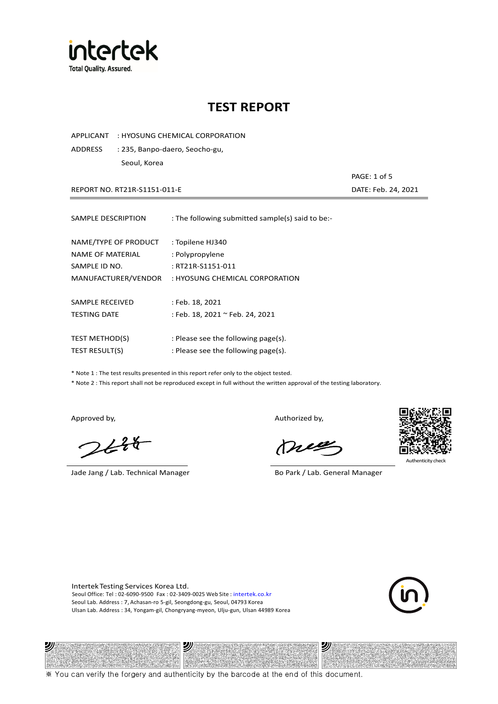

APPLICANT : HYOSUNG CHEMICAL CORPORATION

ADDRESS : 235, Banpo-daero, Seocho-gu, Seoul, Korea

REPORT NO. RT21R-S1151-011-E DATE: Feb. 24, 2021

| SAMPLE DESCRIPTION    | : The following submitted sample(s) said to be:- |
|-----------------------|--------------------------------------------------|
| NAME/TYPE OF PRODUCT  | : Topilene HJ340                                 |
| NAME OF MATERIAL      | : Polypropylene                                  |
| SAMPLE ID NO.         | : RT21R-S1151-011                                |
| MANUFACTURER/VENDOR   | : HYOSUNG CHEMICAL CORPORATION                   |
| SAMPLE RECEIVED       | : Feb. 18, 2021                                  |
| <b>TESTING DATE</b>   | : Feb. 18, 2021 ~ Feb. 24, 2021                  |
| <b>TEST METHOD(S)</b> | : Please see the following page(s).              |
| <b>TEST RESULT(S)</b> | : Please see the following page(s).              |

\* Note 1 : The test results presented in this report refer only to the object tested.

\* Note 2 : This report shall not be reproduced except in full without the written approval of the testing laboratory.

ツル

 $248$ 

Jade Jang / Lab. Technical Manager Bo Park / Lab. General Manager

Approved by, Authorized by, Authorized by,

mes



Authenticity check

沙

PAGE: 1 of 5

Intertek Testing Services Korea Ltd. Seoul Office: Tel : 02-6090-9500 Fax : 02-3409-0025 Web Site : intertek.co.kr Seoul Lab. Address : 7, Achasan-ro 5-gil, Seongdong-gu, Seoul, 04793 Korea Ulsan Lab. Address : 34, Yongam-gil, Chongryang-myeon, Ulju-gun, Ulsan 44989 Korea

沙

※ You can verify the forgery and authenticity by the barcode at the end of this document.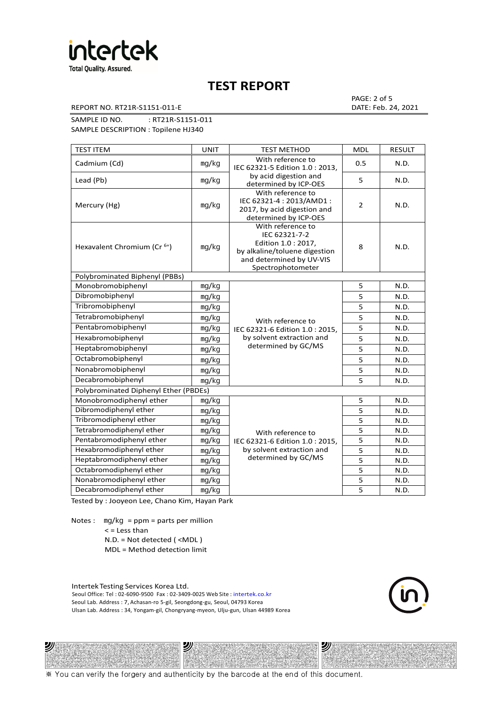

REPORT NO. RT21R-S1151-011-E DATE: Feb. 24, 2021

PAGE: 2 of 5

SAMPLE ID NO. : RT21R-S1151-011

SAMPLE DESCRIPTION : Topilene HJ340

| <b>TEST ITEM</b>                        | <b>UNIT</b> | <b>TEST METHOD</b>                                                                                                                          | <b>MDL</b>     | <b>RESULT</b> |
|-----------------------------------------|-------------|---------------------------------------------------------------------------------------------------------------------------------------------|----------------|---------------|
| Cadmium (Cd)                            | mg/kg       | With reference to<br>IEC 62321-5 Edition 1.0: 2013.                                                                                         | 0.5            | N.D.          |
| Lead (Pb)                               | mq/kg       | by acid digestion and<br>determined by ICP-OES                                                                                              | 5              | N.D.          |
| Mercury (Hg)                            | mg/kg       | With reference to<br>IEC 62321-4: 2013/AMD1:<br>2017, by acid digestion and<br>determined by ICP-OES                                        | $\overline{2}$ | N.D.          |
| Hexavalent Chromium (Cr <sup>6+</sup> ) | mg/kg       | With reference to<br>IEC 62321-7-2<br>Edition 1.0 : 2017,<br>by alkaline/toluene digestion<br>and determined by UV-VIS<br>Spectrophotometer | 8              | N.D.          |
| Polybrominated Biphenyl (PBBs)          |             |                                                                                                                                             |                |               |
| Monobromobiphenyl                       | mg/kg       |                                                                                                                                             | 5              | N.D.          |
| Dibromobiphenyl                         | mg/kg       |                                                                                                                                             | 5              | N.D.          |
| Tribromobiphenyl                        | mg/kg       |                                                                                                                                             | 5              | N.D.          |
| Tetrabromobiphenyl                      | mg/kg       | With reference to                                                                                                                           | 5              | N.D.          |
| Pentabromobiphenyl                      | mg/kg       | IEC 62321-6 Edition 1.0: 2015,                                                                                                              | 5              | N.D.          |
| Hexabromobiphenyl                       | mg/kg       | by solvent extraction and                                                                                                                   | 5              | N.D.          |
| Heptabromobiphenyl                      | mg/kg       | determined by GC/MS                                                                                                                         | 5              | N.D.          |
| Octabromobiphenyl                       | mg/kg       |                                                                                                                                             | 5              | N.D.          |
| Nonabromobiphenyl                       | mg/kg       |                                                                                                                                             | 5              | N.D.          |
| Decabromobiphenyl                       | mg/kg       |                                                                                                                                             | 5              | N.D.          |
| Polybrominated Diphenyl Ether (PBDEs)   |             |                                                                                                                                             |                |               |
| Monobromodiphenyl ether                 | mg/kg       |                                                                                                                                             | 5              | N.D.          |
| Dibromodiphenyl ether                   | mg/kg       |                                                                                                                                             | 5              | N.D.          |
| Tribromodiphenyl ether                  | mg/kg       |                                                                                                                                             | 5              | N.D.          |
| Tetrabromodiphenyl ether                | mg/kg       | With reference to                                                                                                                           | 5              | N.D.          |
| Pentabromodiphenyl ether                | mg/kg       | IEC 62321-6 Edition 1.0: 2015,                                                                                                              | 5              | N.D.          |
| Hexabromodiphenyl ether                 | mq/kg       | by solvent extraction and                                                                                                                   | 5              | N.D.          |
| Heptabromodiphenyl ether                | mg/kg       | determined by GC/MS                                                                                                                         | 5              | N.D.          |
| Octabromodiphenyl ether                 | mg/kg       |                                                                                                                                             | 5              | N.D.          |
| Nonabromodiphenyl ether                 | mg/kg       |                                                                                                                                             | 5              | N.D.          |
| Decabromodiphenyl ether                 | mg/kg       |                                                                                                                                             | 5              | N.D.          |

Tested by : Jooyeon Lee, Chano Kim, Hayan Park

Notes : mg/kg = ppm = parts per million  $<$  = Less than N.D. = Not detected ( <MDL )

沙

MDL = Method detection limit

Intertek Testing Services Korea Ltd. Seoul Office: Tel : 02-6090-9500 Fax : 02-3409-0025 Web Site : intertek.co.kr Seoul Lab. Address : 7, Achasan-ro 5-gil, Seongdong-gu, Seoul, 04793 Korea Ulsan Lab. Address : 34, Yongam-gil, Chongryang-myeon, Ulju-gun, Ulsan 44989 Korea

沙



沙

※ You can verify the forgery and authenticity by the barcode at the end of this document.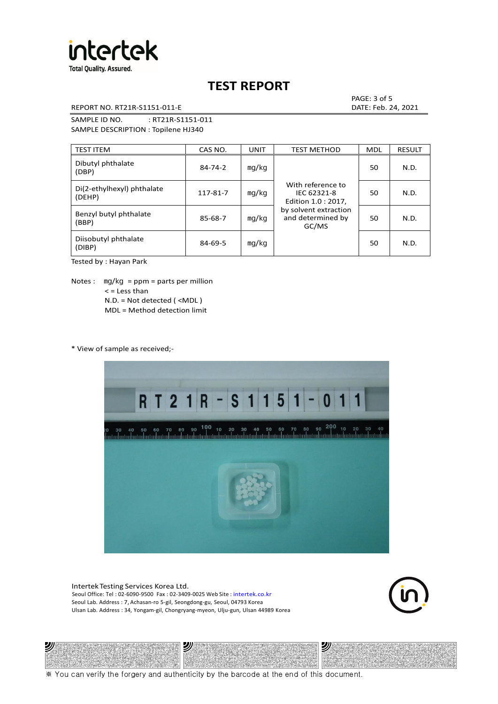

REPORT NO. RT21R-S1151-011-E DATE: Feb. 24, 2021

PAGE: 3 of 5

SAMPLE ID NO. : RT21R-S1151-011 SAMPLE DESCRIPTION : Topilene HJ340

| <b>TEST ITEM</b>                     | CAS NO.       | <b>UNIT</b> | <b>TEST METHOD</b>                                      | <b>MDL</b> | <b>RESULT</b> |
|--------------------------------------|---------------|-------------|---------------------------------------------------------|------------|---------------|
| Dibutyl phthalate<br>(DBP)           | $84 - 74 - 2$ | mg/kg       | With reference to<br>IEC 62321-8<br>Edition 1.0 : 2017, | 50         | N.D.          |
| Di(2-ethylhexyl) phthalate<br>(DEHP) | 117-81-7      | mg/kg       |                                                         | 50         | N.D.          |
| Benzyl butyl phthalate<br>(BBP)      | 85-68-7       | mg/kg       | by solvent extraction<br>and determined by<br>GC/MS     | 50         | N.D.          |
| Diisobutyl phthalate<br>(DIBP)       | $84 - 69 - 5$ | mg/kg       |                                                         | 50         | N.D.          |

Tested by : Hayan Park

Notes :  $mq/kg = ppm = parts per million$  $<$  = Less than N.D. = Not detected ( <MDL ) MDL = Method detection limit

\* View of sample as received;-



Intertek Testing Services Korea Ltd. Seoul Office: Tel : 02-6090-9500 Fax : 02-3409-0025 Web Site : intertek.co.kr Seoul Lab. Address : 7, Achasan-ro 5-gil, Seongdong-gu, Seoul, 04793 Korea Ulsan Lab. Address : 34, Yongam-gil, Chongryang-myeon, Ulju-gun, Ulsan 44989 Korea





※ You can verify the forgery and authenticity by the barcode at the end of this document.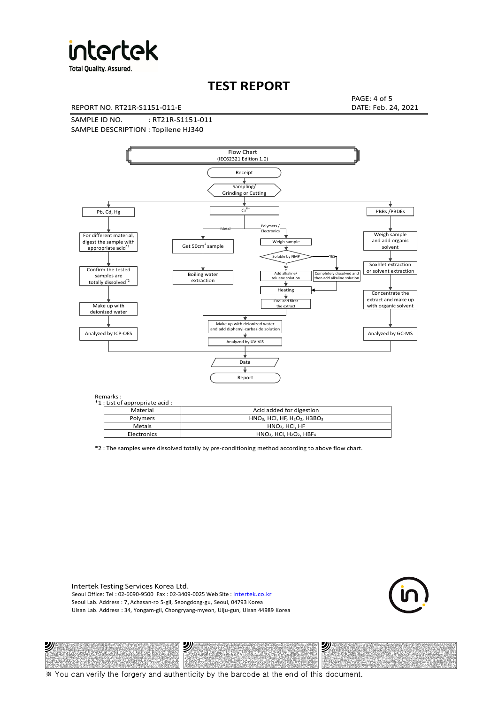

**Total Quality. Assured.** 

## **TEST REPORT**

REPORT NO. RT21R-S1151-011-E DATE: Feb. 24, 2021

PAGE: 4 of 5

SAMPLE ID NO. : RT21R-S1151-011 SAMPLE DESCRIPTION : Topilene HJ340



Remarks :

沙

| . د ۱۱۱ تا ۱۰<br>1 : List of appropriate acid : |                                                                     |  |  |  |  |  |
|-------------------------------------------------|---------------------------------------------------------------------|--|--|--|--|--|
| Material                                        | Acid added for digestion                                            |  |  |  |  |  |
| Polymers                                        | $HNO3$ , HCl, HF, H <sub>2</sub> O <sub>2</sub> , H3BO <sub>3</sub> |  |  |  |  |  |
| <b>Metals</b>                                   | $HNO3$ , HCl, HF                                                    |  |  |  |  |  |
| Electronics                                     | $HNO3$ , HCl, H <sub>2</sub> O <sub>2</sub> , HBF <sub>4</sub>      |  |  |  |  |  |
|                                                 |                                                                     |  |  |  |  |  |

\*2 : The samples were dissolved totally by pre-conditioning method according to above flow chart.

Intertek Testing Services Korea Ltd. Seoul Office: Tel : 02-6090-9500 Fax : 02-3409-0025 Web Site : intertek.co.kr Seoul Lab. Address : 7, Achasan-ro 5-gil, Seongdong-gu, Seoul, 04793 Korea Ulsan Lab. Address : 34, Yongam-gil, Chongryang-myeon, Ulju-gun, Ulsan 44989 Korea

沙



沙